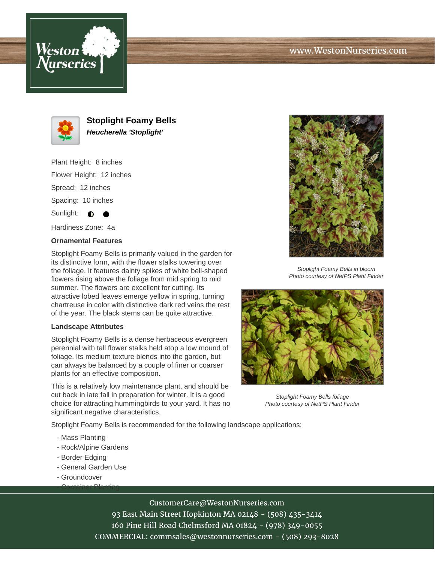





**Stoplight Foamy Bells Heucherella 'Stoplight'**

Plant Height: 8 inches Flower Height: 12 inches Spread: 12 inches Spacing: 10 inches Sunlight:  $\bullet$ 

Hardiness Zone: 4a

## **Ornamental Features**

Stoplight Foamy Bells is primarily valued in the garden for its distinctive form, with the flower stalks towering over the foliage. It features dainty spikes of white bell-shaped flowers rising above the foliage from mid spring to mid summer. The flowers are excellent for cutting. Its attractive lobed leaves emerge yellow in spring, turning chartreuse in color with distinctive dark red veins the rest of the year. The black stems can be quite attractive.

## **Landscape Attributes**

Stoplight Foamy Bells is a dense herbaceous evergreen perennial with tall flower stalks held atop a low mound of foliage. Its medium texture blends into the garden, but can always be balanced by a couple of finer or coarser plants for an effective composition.

This is a relatively low maintenance plant, and should be cut back in late fall in preparation for winter. It is a good choice for attracting hummingbirds to your yard. It has no significant negative characteristics.

Stoplight Foamy Bells is recommended for the following landscape applications;

- Mass Planting
- Rock/Alpine Gardens
- Border Edging
- General Garden Use

- Container Planting

- Groundcover



93 East Main Street Hopkinton MA 02148 - (508) 435-3414 160 Pine Hill Road Chelmsford MA 01824 - (978) 349-0055 COMMERCIAL: commsales@westonnurseries.com - (508) 293-8028



Stoplight Foamy Bells in bloom Photo courtesy of NetPS Plant Finder



Stoplight Foamy Bells foliage Photo courtesy of NetPS Plant Finder